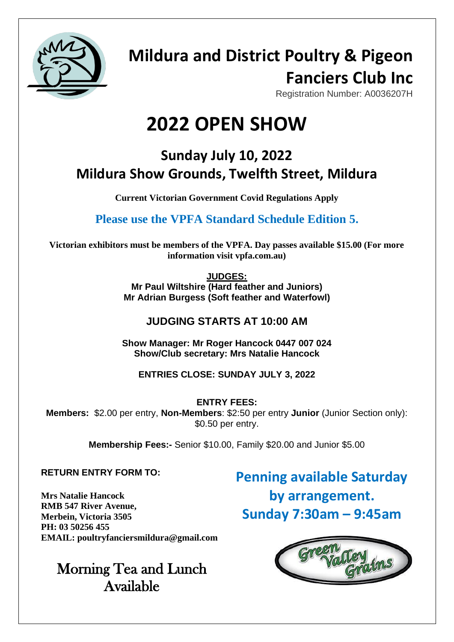

## **Mildura and District Poultry & Pigeon Fanciers Club Inc**

Registration Number: A0036207H

# **2022 OPEN SHOW**

### **Sunday July 10, 2022 Mildura Show Grounds, Twelfth Street, Mildura**

**Current Victorian Government Covid Regulations Apply**

**Please use the VPFA Standard Schedule Edition 5.** 

**Victorian exhibitors must be members of the VPFA. Day passes available \$15.00 (For more information visit vpfa.com.au)**

**JUDGES:**

**Mr Paul Wiltshire (Hard feather and Juniors) Mr Adrian Burgess (Soft feather and Waterfowl)**

### **JUDGING STARTS AT 10:00 AM**

**Show Manager: Mr Roger Hancock 0447 007 024 Show/Club secretary: Mrs Natalie Hancock**

### **ENTRIES CLOSE: SUNDAY JULY 3, 2022**

**ENTRY FEES: Members:** \$2.00 per entry, **Non-Members**: \$2:50 per entry **Junior** (Junior Section only): \$0.50 per entry.

**Membership Fees:-** Senior \$10.00, Family \$20.00 and Junior \$5.00

### **RETURN ENTRY FORM TO:**

**Mrs Natalie Hancock RMB 547 River Avenue, Merbein, Victoria 3505 PH: 03 50256 455 EMAIL: poultryfanciersmildura@gmail.com**

### Morning Tea and Lunch Available

**Penning available Saturday by arrangement. Sunday 7:30am – 9:45am**